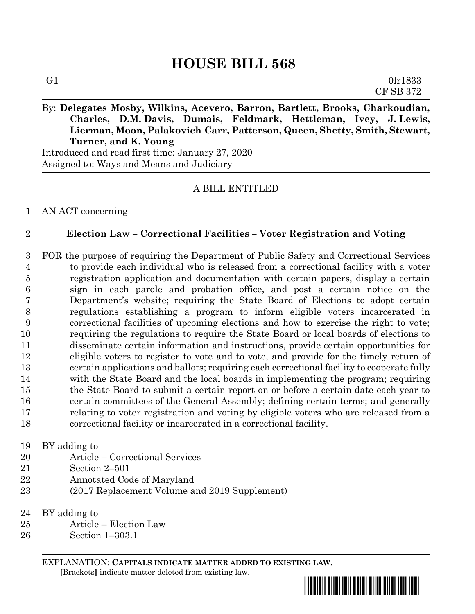# **HOUSE BILL 568**

**Charles, D.M. Davis, Dumais, Feldmark, Hettleman, Ivey, J. Lewis, Lierman, Moon, Palakovich Carr, Patterson, Queen, Shetty, Smith, Stewart, Turner, and K. Young**

Introduced and read first time: January 27, 2020 Assigned to: Ways and Means and Judiciary

## A BILL ENTITLED

AN ACT concerning

## **Election Law – Correctional Facilities – Voter Registration and Voting**

 FOR the purpose of requiring the Department of Public Safety and Correctional Services to provide each individual who is released from a correctional facility with a voter registration application and documentation with certain papers, display a certain sign in each parole and probation office, and post a certain notice on the Department's website; requiring the State Board of Elections to adopt certain regulations establishing a program to inform eligible voters incarcerated in correctional facilities of upcoming elections and how to exercise the right to vote; requiring the regulations to require the State Board or local boards of elections to disseminate certain information and instructions, provide certain opportunities for eligible voters to register to vote and to vote, and provide for the timely return of certain applications and ballots; requiring each correctional facility to cooperate fully with the State Board and the local boards in implementing the program; requiring the State Board to submit a certain report on or before a certain date each year to certain committees of the General Assembly; defining certain terms; and generally relating to voter registration and voting by eligible voters who are released from a correctional facility or incarcerated in a correctional facility.

#### BY adding to

- Article Correctional Services
- Section 2–501
- Annotated Code of Maryland
- (2017 Replacement Volume and 2019 Supplement)
- BY adding to
- Article Election Law
- Section 1–303.1

EXPLANATION: **CAPITALS INDICATE MATTER ADDED TO EXISTING LAW**.  **[**Brackets**]** indicate matter deleted from existing law.

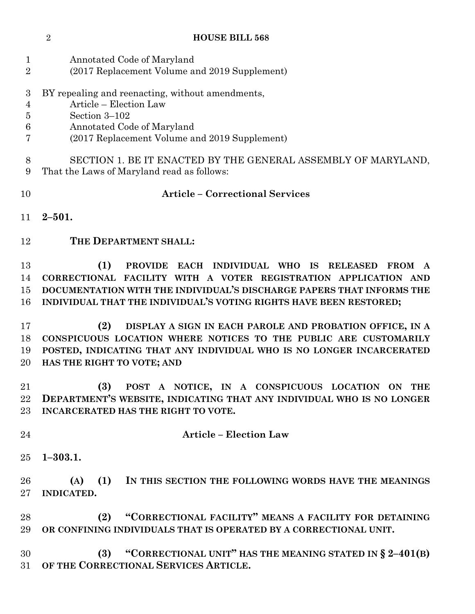Annotated Code of Maryland (2017 Replacement Volume and 2019 Supplement) BY repealing and reenacting, without amendments, Article – Election Law Section 3–102 Annotated Code of Maryland (2017 Replacement Volume and 2019 Supplement) SECTION 1. BE IT ENACTED BY THE GENERAL ASSEMBLY OF MARYLAND, That the Laws of Maryland read as follows: **Article – Correctional Services 2–501. THE DEPARTMENT SHALL: (1) PROVIDE EACH INDIVIDUAL WHO IS RELEASED FROM A CORRECTIONAL FACILITY WITH A VOTER REGISTRATION APPLICATION AND DOCUMENTATION WITH THE INDIVIDUAL'S DISCHARGE PAPERS THAT INFORMS THE INDIVIDUAL THAT THE INDIVIDUAL'S VOTING RIGHTS HAVE BEEN RESTORED; (2) DISPLAY A SIGN IN EACH PAROLE AND PROBATION OFFICE, IN A CONSPICUOUS LOCATION WHERE NOTICES TO THE PUBLIC ARE CUSTOMARILY POSTED, INDICATING THAT ANY INDIVIDUAL WHO IS NO LONGER INCARCERATED HAS THE RIGHT TO VOTE; AND (3) POST A NOTICE, IN A CONSPICUOUS LOCATION ON THE DEPARTMENT'S WEBSITE, INDICATING THAT ANY INDIVIDUAL WHO IS NO LONGER INCARCERATED HAS THE RIGHT TO VOTE. Article – Election Law 1–303.1. (A) (1) IN THIS SECTION THE FOLLOWING WORDS HAVE THE MEANINGS INDICATED. (2) "CORRECTIONAL FACILITY" MEANS A FACILITY FOR DETAINING OR CONFINING INDIVIDUALS THAT IS OPERATED BY A CORRECTIONAL UNIT. (3) "CORRECTIONAL UNIT" HAS THE MEANING STATED IN § 2–401(B) OF THE CORRECTIONAL SERVICES ARTICLE.**

**HOUSE BILL 568**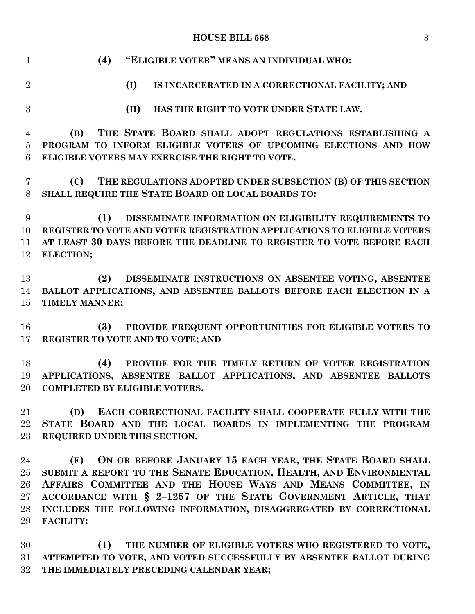#### **HOUSE BILL 568** 3

| $\mathbf{1}$   | "ELIGIBLE VOTER" MEANS AN INDIVIDUAL WHO:<br>(4)                        |
|----------------|-------------------------------------------------------------------------|
| $\overline{2}$ | (I)<br>IS INCARCERATED IN A CORRECTIONAL FACILITY; AND                  |
| 3              | HAS THE RIGHT TO VOTE UNDER STATE LAW.<br>(II)                          |
| 4              | THE STATE BOARD SHALL ADOPT REGULATIONS ESTABLISHING A<br>(B)           |
| $\overline{5}$ | PROGRAM TO INFORM ELIGIBLE VOTERS OF UPCOMING ELECTIONS AND HOW         |
| 6              | ELIGIBLE VOTERS MAY EXERCISE THE RIGHT TO VOTE.                         |
| 7              | THE REGULATIONS ADOPTED UNDER SUBSECTION (B) OF THIS SECTION<br>(C)     |
| 8              | SHALL REQUIRE THE STATE BOARD OR LOCAL BOARDS TO:                       |
| 9              | (1)<br>DISSEMINATE INFORMATION ON ELIGIBILITY REQUIREMENTS TO           |
| 10             | REGISTER TO VOTE AND VOTER REGISTRATION APPLICATIONS TO ELIGIBLE VOTERS |
| 11             | AT LEAST 30 DAYS BEFORE THE DEADLINE TO REGISTER TO VOTE BEFORE EACH    |
| 12             | ELECTION;                                                               |
|                |                                                                         |
| 13             | DISSEMINATE INSTRUCTIONS ON ABSENTEE VOTING, ABSENTEE<br>(2)            |
| 14             | BALLOT APPLICATIONS, AND ABSENTEE BALLOTS BEFORE EACH ELECTION IN A     |
| 15             | TIMELY MANNER;                                                          |
|                |                                                                         |
| 16             | (3)<br>PROVIDE FREQUENT OPPORTUNITIES FOR ELIGIBLE VOTERS TO            |
| 17             | REGISTER TO VOTE AND TO VOTE; AND                                       |
|                |                                                                         |
| 18             | (4)<br>PROVIDE FOR THE TIMELY RETURN OF VOTER REGISTRATION              |
| 19             | APPLICATIONS, ABSENTEE BALLOT APPLICATIONS, AND ABSENTEE BALLOTS        |
| 20             | <b>COMPLETED BY ELIGIBLE VOTERS.</b>                                    |
| $21\,$         | (D)<br>EACH CORRECTIONAL FACILITY SHALL COOPERATE FULLY WITH THE        |
| 22             | STATE BOARD AND THE LOCAL BOARDS IN IMPLEMENTING THE PROGRAM            |
| $23\,$         | REQUIRED UNDER THIS SECTION.                                            |
|                |                                                                         |
| 24             | ON OR BEFORE JANUARY 15 EACH YEAR, THE STATE BOARD SHALL<br>(E)         |
| $25\,$         | SUBMIT A REPORT TO THE SENATE EDUCATION, HEALTH, AND ENVIRONMENTAL      |
| 26             | AFFAIRS COMMITTEE AND THE HOUSE WAYS AND MEANS COMMITTEE, IN            |
| $27\,$         | ACCORDANCE WITH § 2-1257 OF THE STATE GOVERNMENT ARTICLE, THAT          |
| 28             | INCLUDES THE FOLLOWING INFORMATION, DISAGGREGATED BY CORRECTIONAL       |
| 29             | <b>FACILITY:</b>                                                        |
|                |                                                                         |

 **(1) THE NUMBER OF ELIGIBLE VOTERS WHO REGISTERED TO VOTE, ATTEMPTED TO VOTE, AND VOTED SUCCESSFULLY BY ABSENTEE BALLOT DURING THE IMMEDIATELY PRECEDING CALENDAR YEAR;**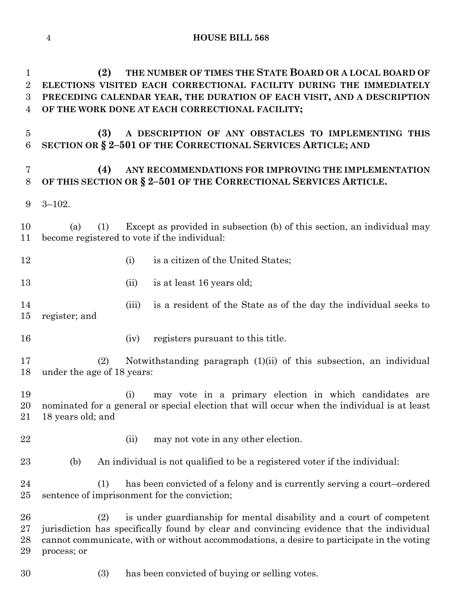| $\mathbf 1$<br>$\boldsymbol{2}$<br>3<br>4 | THE NUMBER OF TIMES THE STATE BOARD OR A LOCAL BOARD OF<br>(2)<br>ELECTIONS VISITED EACH CORRECTIONAL FACILITY DURING THE IMMEDIATELY<br>PRECEDING CALENDAR YEAR, THE DURATION OF EACH VISIT, AND A DESCRIPTION<br>OF THE WORK DONE AT EACH CORRECTIONAL FACILITY;                  |
|-------------------------------------------|-------------------------------------------------------------------------------------------------------------------------------------------------------------------------------------------------------------------------------------------------------------------------------------|
| $\overline{5}$<br>$\,6$                   | (3)<br>A DESCRIPTION OF ANY OBSTACLES TO IMPLEMENTING THIS<br>SECTION OR § 2-501 OF THE CORRECTIONAL SERVICES ARTICLE; AND                                                                                                                                                          |
| $\overline{7}$<br>$8\,$                   | (4)<br>ANY RECOMMENDATIONS FOR IMPROVING THE IMPLEMENTATION<br>OF THIS SECTION OR § 2-501 OF THE CORRECTIONAL SERVICES ARTICLE.                                                                                                                                                     |
| 9                                         | $3 - 102.$                                                                                                                                                                                                                                                                          |
| 10<br>11                                  | Except as provided in subsection (b) of this section, an individual may<br>(1)<br>(a)<br>become registered to vote if the individual:                                                                                                                                               |
| 12                                        | is a citizen of the United States;<br>(i)                                                                                                                                                                                                                                           |
| 13                                        | is at least 16 years old;<br>(ii)                                                                                                                                                                                                                                                   |
| 14<br>15                                  | is a resident of the State as of the day the individual seeks to<br>(iii)<br>register; and                                                                                                                                                                                          |
| 16                                        | registers pursuant to this title.<br>(iv)                                                                                                                                                                                                                                           |
| 17<br>18                                  | Notwithstanding paragraph (1)(ii) of this subsection, an individual<br>(2)<br>under the age of 18 years:                                                                                                                                                                            |
| 19<br>20<br>21                            | may vote in a primary election in which candidates are<br>(i)<br>nominated for a general or special election that will occur when the individual is at least<br>18 years old; and                                                                                                   |
| 22                                        | may not vote in any other election.<br>(ii)                                                                                                                                                                                                                                         |
| 23                                        | An individual is not qualified to be a registered voter if the individual:<br>(b)                                                                                                                                                                                                   |
| 24<br>25                                  | has been convicted of a felony and is currently serving a court-ordered<br>(1)<br>sentence of imprisonment for the conviction;                                                                                                                                                      |
| 26<br>27<br>28<br>29                      | is under guardianship for mental disability and a court of competent<br>(2)<br>jurisdiction has specifically found by clear and convincing evidence that the individual<br>cannot communicate, with or without accommodations, a desire to participate in the voting<br>process; or |

(3) has been convicted of buying or selling votes.

**HOUSE BILL 568**